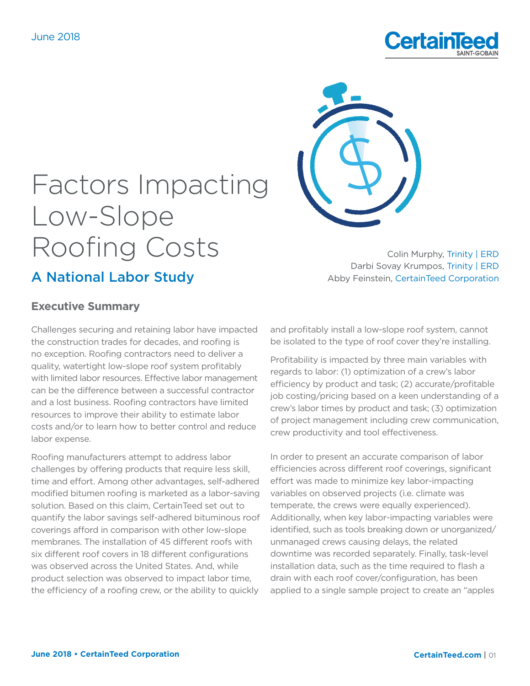



### Colin Murphy, Trinity | ERD Darbi Sovay Krumpos, Trinity | ERD Abby Feinstein, CertainTeed Corporation

# **Executive Summary**

A National Labor Study

Challenges securing and retaining labor have impacted the construction trades for decades, and roofing is no exception. Roofing contractors need to deliver a quality, watertight low-slope roof system profitably with limited labor resources. Effective labor management can be the difference between a successful contractor and a lost business. Roofing contractors have limited resources to improve their ability to estimate labor costs and/or to learn how to better control and reduce labor expense.

Roofing manufacturers attempt to address labor challenges by offering products that require less skill, time and effort. Among other advantages, self-adhered modified bitumen roofing is marketed as a labor-saving solution. Based on this claim, CertainTeed set out to quantify the labor savings self-adhered bituminous roof coverings afford in comparison with other low-slope membranes. The installation of 45 different roofs with six different roof covers in 18 different configurations was observed across the United States. And, while product selection was observed to impact labor time, the efficiency of a roofing crew, or the ability to quickly

and profitably install a low-slope roof system, cannot be isolated to the type of roof cover they're installing.

Profitability is impacted by three main variables with regards to labor: (1) optimization of a crew's labor efficiency by product and task; (2) accurate/profitable job costing/pricing based on a keen understanding of a crew's labor times by product and task; (3) optimization of project management including crew communication, crew productivity and tool effectiveness.

In order to present an accurate comparison of labor efficiencies across different roof coverings, significant effort was made to minimize key labor-impacting variables on observed projects (i.e. climate was temperate, the crews were equally experienced). Additionally, when key labor-impacting variables were identified, such as tools breaking down or unorganized/ unmanaged crews causing delays, the related downtime was recorded separately. Finally, task-level installation data, such as the time required to flash a drain with each roof cover/configuration, has been applied to a single sample project to create an "apples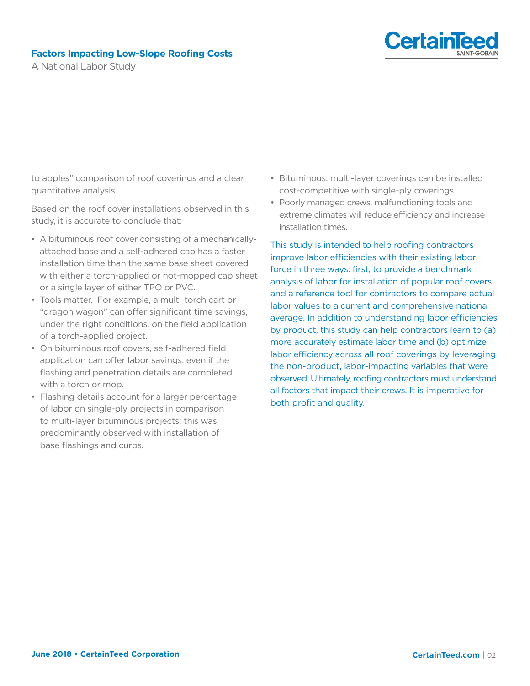

A National Labor Study

to apples" comparison of roof coverings and a clear quantitative analysis.

Based on the roof cover installations observed in this study, it is accurate to conclude that:

- A bituminous roof cover consisting of a mechanicallyattached base and a self-adhered cap has a faster installation time than the same base sheet covered with either a torch-applied or hot-mopped cap sheet or a single layer of either TPO or PVC.
- Tools matter. For example, a multi-torch cart or "dragon wagon" can offer significant time savings, under the right conditions, on the field application of a torch-applied project.
- On bituminous roof covers, self-adhered field application can offer labor savings, even if the flashing and penetration details are completed with a torch or mop.
- Flashing details account for a larger percentage of labor on single-ply projects in comparison to multi-layer bituminous projects; this was predominantly observed with installation of base flashings and curbs.
- Bituminous, multi-layer coverings can be installed cost-competitive with single-ply coverings.
- Poorly managed crews, malfunctioning tools and extreme climates will reduce efficiency and increase installation times.

This study is intended to help roofing contractors improve labor efficiencies with their existing labor force in three ways: first, to provide a benchmark analysis of labor for installation of popular roof covers and a reference tool for contractors to compare actual labor values to a current and comprehensive national average. In addition to understanding labor efficiencies by product, this study can help contractors learn to (a) more accurately estimate labor time and (b) optimize labor efficiency across all roof coverings by leveraging the non-product, labor-impacting variables that were observed. Ultimately, roofing contractors must understand all factors that impact their crews. It is imperative for both profit and quality.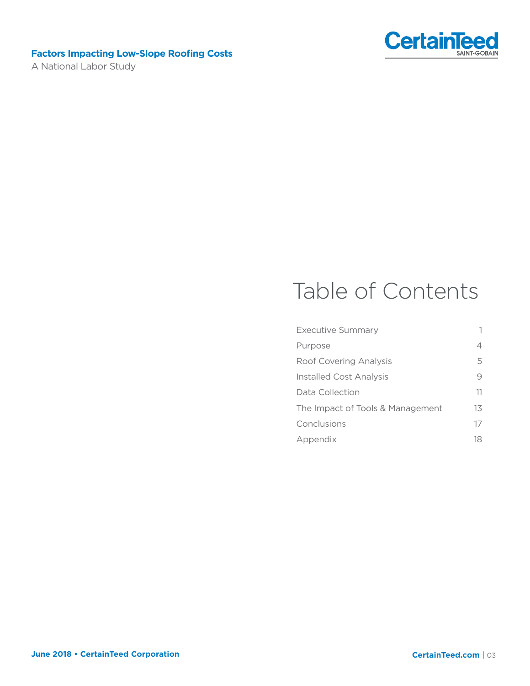A National Labor Study



# Table of Contents

| Executive Summary                | 1   |
|----------------------------------|-----|
| Purpose                          | 4   |
| Roof Covering Analysis           | 5   |
| Installed Cost Analysis          | 9   |
| Data Collection                  | 11  |
| The Impact of Tools & Management | 13  |
| Conclusions                      | 17  |
| Appendix                         | 18. |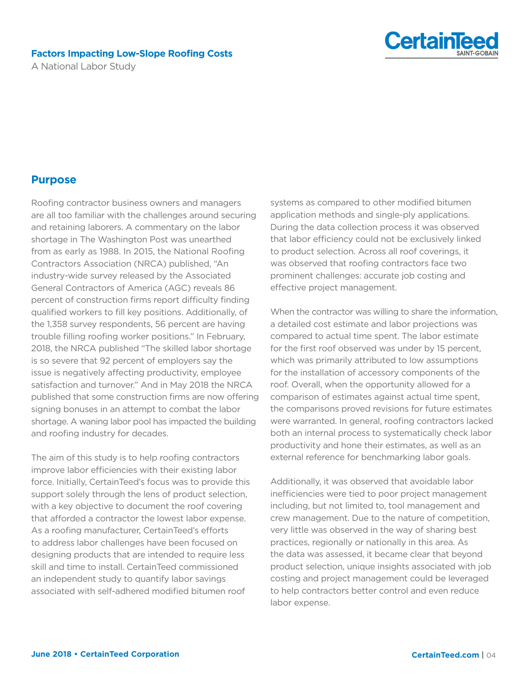A National Labor Study



# **Purpose**

Roofing contractor business owners and managers are all too familiar with the challenges around securing and retaining laborers. A commentary on the labor shortage in The Washington Post was unearthed from as early as 1988. In 2015, the National Roofing Contractors Association (NRCA) published, "An industry-wide survey released by the Associated General Contractors of America (AGC) reveals 86 percent of construction firms report difficulty finding qualified workers to fill key positions. Additionally, of the 1,358 survey respondents, 56 percent are having trouble filling roofing worker positions." In February, 2018, the NRCA published "The skilled labor shortage is so severe that 92 percent of employers say the issue is negatively affecting productivity, employee satisfaction and turnover." And in May 2018 the NRCA published that some construction firms are now offering signing bonuses in an attempt to combat the labor shortage. A waning labor pool has impacted the building and roofing industry for decades.

The aim of this study is to help roofing contractors improve labor efficiencies with their existing labor force. Initially, CertainTeed's focus was to provide this support solely through the lens of product selection, with a key objective to document the roof covering that afforded a contractor the lowest labor expense. As a roofing manufacturer, CertainTeed's efforts to address labor challenges have been focused on designing products that are intended to require less skill and time to install. CertainTeed commissioned an independent study to quantify labor savings associated with self-adhered modified bitumen roof

systems as compared to other modified bitumen application methods and single-ply applications. During the data collection process it was observed that labor efficiency could not be exclusively linked to product selection. Across all roof coverings, it was observed that roofing contractors face two prominent challenges: accurate job costing and effective project management.

When the contractor was willing to share the information, a detailed cost estimate and labor projections was compared to actual time spent. The labor estimate for the first roof observed was under by 15 percent, which was primarily attributed to low assumptions for the installation of accessory components of the roof. Overall, when the opportunity allowed for a comparison of estimates against actual time spent, the comparisons proved revisions for future estimates were warranted. In general, roofing contractors lacked both an internal process to systematically check labor productivity and hone their estimates, as well as an external reference for benchmarking labor goals.

Additionally, it was observed that avoidable labor inefficiencies were tied to poor project management including, but not limited to, tool management and crew management. Due to the nature of competition, very little was observed in the way of sharing best practices, regionally or nationally in this area. As the data was assessed, it became clear that beyond product selection, unique insights associated with job costing and project management could be leveraged to help contractors better control and even reduce labor expense.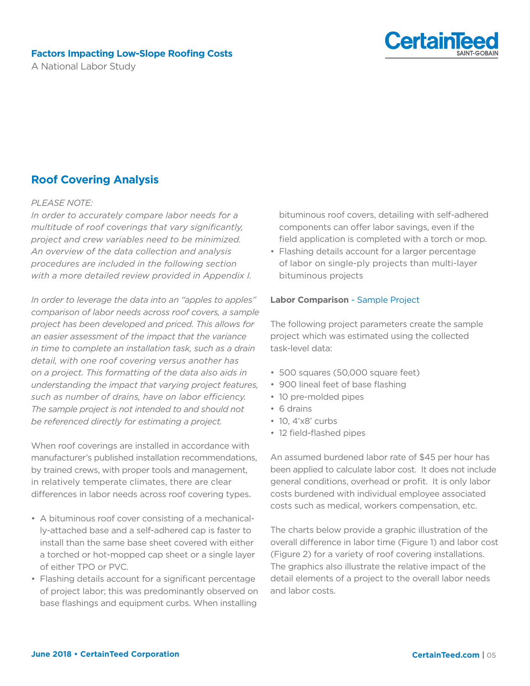A National Labor Study



# **Roof Covering Analysis**

#### *PLEASE NOTE:*

*In order to accurately compare labor needs for a multitude of roof coverings that vary significantly, project and crew variables need to be minimized. An overview of the data collection and analysis procedures are included in the following section with a more detailed review provided in Appendix I.*

*In order to leverage the data into an "apples to apples" comparison of labor needs across roof covers, a sample project has been developed and priced. This allows for an easier assessment of the impact that the variance in time to complete an installation task, such as a drain detail, with one roof covering versus another has on a project. This formatting of the data also aids in understanding the impact that varying project features, such as number of drains, have on labor efficiency. The sample project is not intended to and should not be referenced directly for estimating a project.*

When roof coverings are installed in accordance with manufacturer's published installation recommendations, by trained crews, with proper tools and management, in relatively temperate climates, there are clear differences in labor needs across roof covering types.

- A bituminous roof cover consisting of a mechanically-attached base and a self-adhered cap is faster to install than the same base sheet covered with either a torched or hot-mopped cap sheet or a single layer of either TPO or PVC.
- Flashing details account for a significant percentage of project labor; this was predominantly observed on base flashings and equipment curbs. When installing

bituminous roof covers, detailing with self-adhered components can offer labor savings, even if the field application is completed with a torch or mop.

• Flashing details account for a larger percentage of labor on single-ply projects than multi-layer bituminous projects

#### **Labor Comparison** - Sample Project

The following project parameters create the sample project which was estimated using the collected task-level data:

- 500 squares (50,000 square feet)
- 900 lineal feet of base flashing
- 10 pre-molded pipes
- 6 drains
- 10, 4'x8' curbs
- 12 field-flashed pipes

An assumed burdened labor rate of \$45 per hour has been applied to calculate labor cost. It does not include general conditions, overhead or profit. It is only labor costs burdened with individual employee associated costs such as medical, workers compensation, etc.

The charts below provide a graphic illustration of the overall difference in labor time (Figure 1) and labor cost (Figure 2) for a variety of roof covering installations. The graphics also illustrate the relative impact of the detail elements of a project to the overall labor needs and labor costs.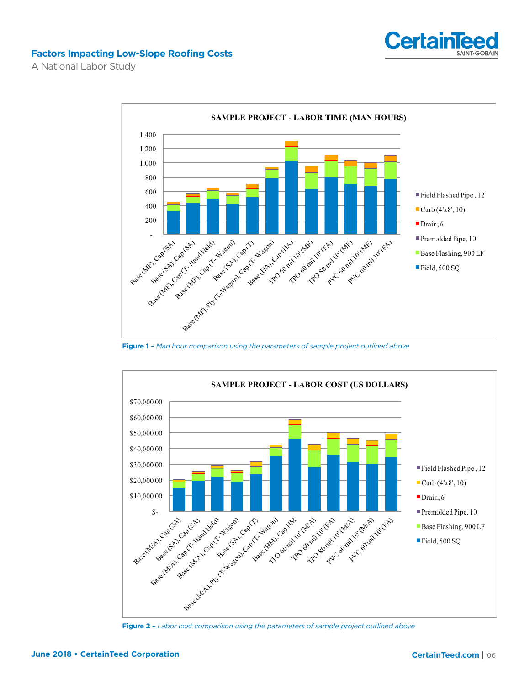

A National Labor Study



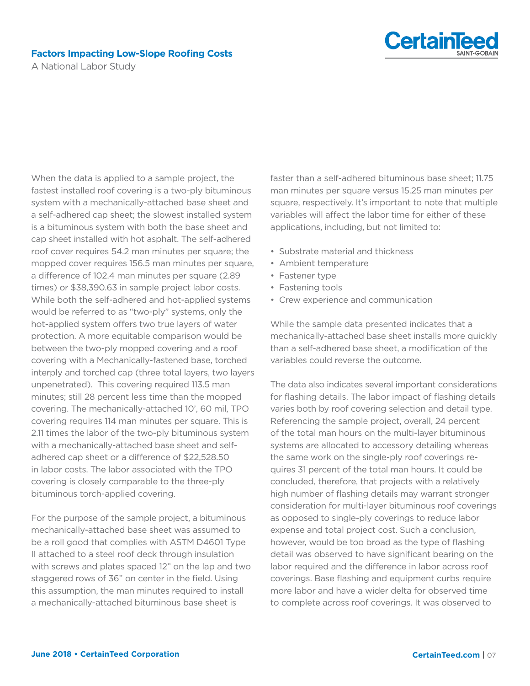

A National Labor Study

When the data is applied to a sample project, the fastest installed roof covering is a two-ply bituminous system with a mechanically-attached base sheet and a self-adhered cap sheet; the slowest installed system is a bituminous system with both the base sheet and cap sheet installed with hot asphalt. The self-adhered roof cover requires 54.2 man minutes per square; the mopped cover requires 156.5 man minutes per square, a difference of 102.4 man minutes per square (2.89 times) or \$38,390.63 in sample project labor costs. While both the self-adhered and hot-applied systems would be referred to as "two-ply" systems, only the hot-applied system offers two true layers of water protection. A more equitable comparison would be between the two-ply mopped covering and a roof covering with a Mechanically-fastened base, torched interply and torched cap (three total layers, two layers unpenetrated). This covering required 113.5 man minutes; still 28 percent less time than the mopped covering. The mechanically-attached 10', 60 mil, TPO covering requires 114 man minutes per square. This is 2.11 times the labor of the two-ply bituminous system with a mechanically-attached base sheet and selfadhered cap sheet or a difference of \$22,528.50 in labor costs. The labor associated with the TPO covering is closely comparable to the three-ply bituminous torch-applied covering.

For the purpose of the sample project, a bituminous mechanically-attached base sheet was assumed to be a roll good that complies with ASTM D4601 Type II attached to a steel roof deck through insulation with screws and plates spaced 12" on the lap and two staggered rows of 36" on center in the field. Using this assumption, the man minutes required to install a mechanically-attached bituminous base sheet is

faster than a self-adhered bituminous base sheet; 11.75 man minutes per square versus 15.25 man minutes per square, respectively. It's important to note that multiple variables will affect the labor time for either of these applications, including, but not limited to:

- Substrate material and thickness
- Ambient temperature
- Fastener type
- Fastening tools
- Crew experience and communication

While the sample data presented indicates that a mechanically-attached base sheet installs more quickly than a self-adhered base sheet, a modification of the variables could reverse the outcome.

The data also indicates several important considerations for flashing details. The labor impact of flashing details varies both by roof covering selection and detail type. Referencing the sample project, overall, 24 percent of the total man hours on the multi-layer bituminous systems are allocated to accessory detailing whereas the same work on the single-ply roof coverings requires 31 percent of the total man hours. It could be concluded, therefore, that projects with a relatively high number of flashing details may warrant stronger consideration for multi-layer bituminous roof coverings as opposed to single-ply coverings to reduce labor expense and total project cost. Such a conclusion, however, would be too broad as the type of flashing detail was observed to have significant bearing on the labor required and the difference in labor across roof coverings. Base flashing and equipment curbs require more labor and have a wider delta for observed time to complete across roof coverings. It was observed to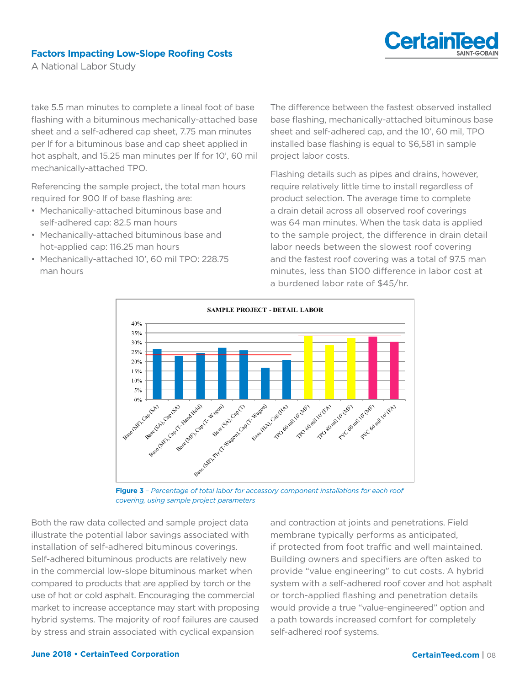

A National Labor Study

take 5.5 man minutes to complete a lineal foot of base flashing with a bituminous mechanically-attached base sheet and a self-adhered cap sheet, 7.75 man minutes per lf for a bituminous base and cap sheet applied in hot asphalt, and 15.25 man minutes per lf for 10', 60 mil mechanically-attached TPO.

Referencing the sample project, the total man hours required for 900 lf of base flashing are:

- Mechanically-attached bituminous base and self-adhered cap: 82.5 man hours
- Mechanically-attached bituminous base and hot-applied cap: 116.25 man hours
- Mechanically-attached 10', 60 mil TPO: 228.75 man hours

The difference between the fastest observed installed base flashing, mechanically-attached bituminous base sheet and self-adhered cap, and the 10', 60 mil, TPO installed base flashing is equal to \$6,581 in sample project labor costs.

Flashing details such as pipes and drains, however, require relatively little time to install regardless of product selection. The average time to complete a drain detail across all observed roof coverings was 64 man minutes. When the task data is applied to the sample project, the difference in drain detail labor needs between the slowest roof covering and the fastest roof covering was a total of 97.5 man minutes, less than \$100 difference in labor cost at a burdened labor rate of \$45/hr.



**Figure 3** *– Percentage of total labor for accessory component installations for each roof covering, using sample project parameters* 

Both the raw data collected and sample project data illustrate the potential labor savings associated with installation of self-adhered bituminous coverings. Self-adhered bituminous products are relatively new in the commercial low-slope bituminous market when compared to products that are applied by torch or the use of hot or cold asphalt. Encouraging the commercial market to increase acceptance may start with proposing hybrid systems. The majority of roof failures are caused by stress and strain associated with cyclical expansion

and contraction at joints and penetrations. Field membrane typically performs as anticipated, if protected from foot traffic and well maintained. Building owners and specifiers are often asked to provide "value engineering" to cut costs. A hybrid system with a self-adhered roof cover and hot asphalt or torch-applied flashing and penetration details would provide a true "value-engineered" option and a path towards increased comfort for completely self-adhered roof systems.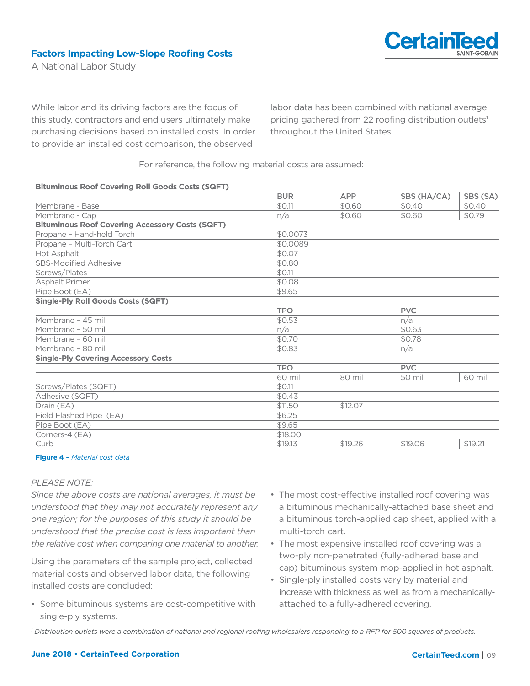

A National Labor Study

While labor and its driving factors are the focus of this study, contractors and end users ultimately make purchasing decisions based on installed costs. In order to provide an installed cost comparison, the observed

labor data has been combined with national average pricing gathered from 22 roofing distribution outlets<sup>1</sup> throughout the United States.

For reference, the following material costs are assumed:

#### **Bituminous Roof Covering Roll Goods Costs (SQFT)**

|                                                        | <b>BUR</b> | <b>APP</b> | SBS (HA/CA) | SBS (SA)   |  |
|--------------------------------------------------------|------------|------------|-------------|------------|--|
| Membrane - Base                                        | \$0.11     | \$0.60     | \$0.40      | \$0.40     |  |
| Membrane - Cap                                         | n/a        | \$0.60     | \$0.60      | \$0.79     |  |
| <b>Bituminous Roof Covering Accessory Costs (SQFT)</b> |            |            |             |            |  |
| Propane - Hand-held Torch                              | \$0.0073   |            |             |            |  |
| Propane - Multi-Torch Cart                             | \$0.0089   |            |             |            |  |
| Hot Asphalt                                            | \$0.07     |            |             |            |  |
| <b>SBS-Modified Adhesive</b>                           | \$0.80     |            |             |            |  |
| Screws/Plates                                          | \$0.11     |            |             |            |  |
| Asphalt Primer                                         | \$0.08     |            |             |            |  |
| Pipe Boot (EA)                                         | \$9.65     |            |             |            |  |
| <b>Single-Ply Roll Goods Costs (SQFT)</b>              |            |            |             |            |  |
|                                                        | <b>TPO</b> |            | <b>PVC</b>  |            |  |
| Membrane - 45 mil                                      | \$0.53     |            |             | n/a        |  |
| Membrane - 50 mil                                      | n/a        |            | \$0.63      |            |  |
| Membrane - 60 mil                                      | \$0.70     |            | \$0.78      |            |  |
| Membrane - 80 mil                                      | \$0.83     |            | n/a         |            |  |
| <b>Single-Ply Covering Accessory Costs</b>             |            |            |             |            |  |
|                                                        | <b>TPO</b> |            |             | <b>PVC</b> |  |
|                                                        | 60 mil     | 80 mil     | 50 mil      | 60 mil     |  |
| Screws/Plates (SQFT)                                   | \$0.11     |            |             |            |  |
| Adhesive (SQFT)                                        | \$0.43     |            |             |            |  |
| Drain (EA)                                             | \$11.50    | \$12.07    |             |            |  |
| Field Flashed Pipe (EA)                                | \$6.25     |            |             |            |  |
| Pipe Boot (EA)                                         | \$9.65     |            |             |            |  |
| Corners-4 (EA)                                         | \$18.00    |            |             |            |  |
| Curb                                                   | \$19.13    | \$19.26    | \$19.06     | \$19.21    |  |
|                                                        |            |            |             |            |  |

#### **Figure 4** *– Material cost data*

#### *PLEASE NOTE:*

*Since the above costs are national averages, it must be understood that they may not accurately represent any one region; for the purposes of this study it should be understood that the precise cost is less important than the relative cost when comparing one material to another.*

Using the parameters of the sample project, collected material costs and observed labor data, the following installed costs are concluded:

- Some bituminous systems are cost-competitive with single-ply systems.
- The most cost-effective installed roof covering was a bituminous mechanically-attached base sheet and a bituminous torch-applied cap sheet, applied with a multi-torch cart.
- The most expensive installed roof covering was a two-ply non-penetrated (fully-adhered base and cap) bituminous system mop-applied in hot asphalt.
- Single-ply installed costs vary by material and increase with thickness as well as from a mechanicallyattached to a fully-adhered covering.

*1 Distribution outlets were a combination of national and regional roofing wholesalers responding to a RFP for 500 squares of products.*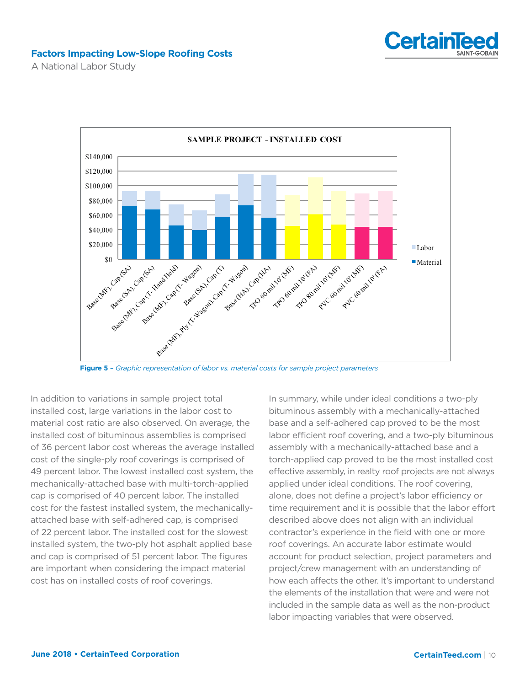

A National Labor Study



**Figure 5** *– Graphic representation of labor vs. material costs for sample project parameters*

In addition to variations in sample project total installed cost, large variations in the labor cost to material cost ratio are also observed. On average, the installed cost of bituminous assemblies is comprised of 36 percent labor cost whereas the average installed cost of the single-ply roof coverings is comprised of 49 percent labor. The lowest installed cost system, the mechanically-attached base with multi-torch-applied cap is comprised of 40 percent labor. The installed cost for the fastest installed system, the mechanicallyattached base with self-adhered cap, is comprised of 22 percent labor. The installed cost for the slowest installed system, the two-ply hot asphalt applied base and cap is comprised of 51 percent labor. The figures are important when considering the impact material cost has on installed costs of roof coverings.

In summary, while under ideal conditions a two-ply bituminous assembly with a mechanically-attached base and a self-adhered cap proved to be the most labor efficient roof covering, and a two-ply bituminous assembly with a mechanically-attached base and a torch-applied cap proved to be the most installed cost effective assembly, in realty roof projects are not always applied under ideal conditions. The roof covering, alone, does not define a project's labor efficiency or time requirement and it is possible that the labor effort described above does not align with an individual contractor's experience in the field with one or more roof coverings. An accurate labor estimate would account for product selection, project parameters and project/crew management with an understanding of how each affects the other. It's important to understand the elements of the installation that were and were not included in the sample data as well as the non-product labor impacting variables that were observed.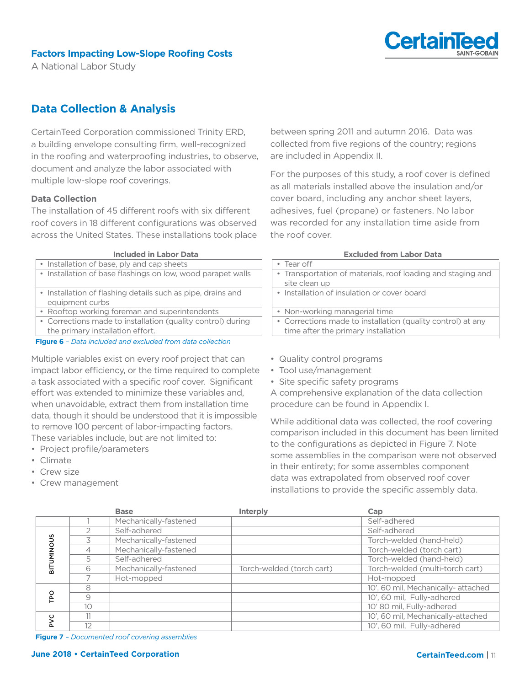

A National Labor Study

# **Data Collection & Analysis**

CertainTeed Corporation commissioned Trinity ERD, a building envelope consulting firm, well-recognized in the roofing and waterproofing industries, to observe, document and analyze the labor associated with multiple low-slope roof coverings.

#### **Data Collection**

The installation of 45 different roofs with six different roof covers in 18 different configurations was observed across the United States. These installations took place

**Included in Labor Data**

**Figure 6** *– Data included and excluded from data collection*

Multiple variables exist on every roof project that can impact labor efficiency, or the time required to complete a task associated with a specific roof cover. Significant effort was extended to minimize these variables and, when unavoidable, extract them from installation time data, though it should be understood that it is impossible to remove 100 percent of labor-impacting factors. These variables include, but are not limited to:

- Project profile/parameters
- Climate
- Crew size
- Crew management

between spring 2011 and autumn 2016. Data was collected from five regions of the country; regions are included in Appendix II.

For the purposes of this study, a roof cover is defined as all materials installed above the insulation and/or cover board, including any anchor sheet layers, adhesives, fuel (propane) or fasteners. No labor was recorded for any installation time aside from the roof cover.

#### **Excluded from Labor Data**

| • Tear off                                                  |
|-------------------------------------------------------------|
| • Transportation of materials, roof loading and staging and |
| site clean up                                               |
| • Installation of insulation or cover board                 |
|                                                             |
| • Non-working managerial time                               |
| • Corrections made to installation (quality control) at any |
| time after the primary installation                         |
|                                                             |

- Quality control programs
- Tool use/management
- Site specific safety programs

A comprehensive explanation of the data collection procedure can be found in Appendix I.

While additional data was collected, the roof covering comparison included in this document has been limited to the configurations as depicted in Figure 7. Note some assemblies in the comparison were not observed in their entirety; for some assembles component data was extrapolated from observed roof cover installations to provide the specific assembly data.

|                     |    | <b>Base</b>           | <b>Interply</b>           | Cap                                 |
|---------------------|----|-----------------------|---------------------------|-------------------------------------|
|                     |    | Mechanically-fastened |                           | Self-adhered                        |
| <b>SNONINI</b><br>듦 |    | Self-adhered          |                           | Self-adhered                        |
|                     |    | Mechanically-fastened |                           | Torch-welded (hand-held)            |
|                     | 4  | Mechanically-fastened |                           | Torch-welded (torch cart)           |
|                     | 5  | Self-adhered          |                           | Torch-welded (hand-held)            |
|                     | 6  | Mechanically-fastened | Torch-welded (torch cart) | Torch-welded (multi-torch cart)     |
|                     |    | Hot-mopped            |                           | Hot-mopped                          |
| ၉                   | 8  |                       |                           | 10', 60 mil, Mechanically- attached |
|                     | 9  |                       |                           | 10', 60 mil, Fully-adhered          |
|                     | 10 |                       |                           | 10' 80 mil, Fully-adhered           |
| Ο                   | 11 |                       |                           | 10', 60 mil, Mechanically-attached  |
|                     | 12 |                       |                           | 10', 60 mil, Fully-adhered          |

**Figure 7** *– Documented roof covering assemblies*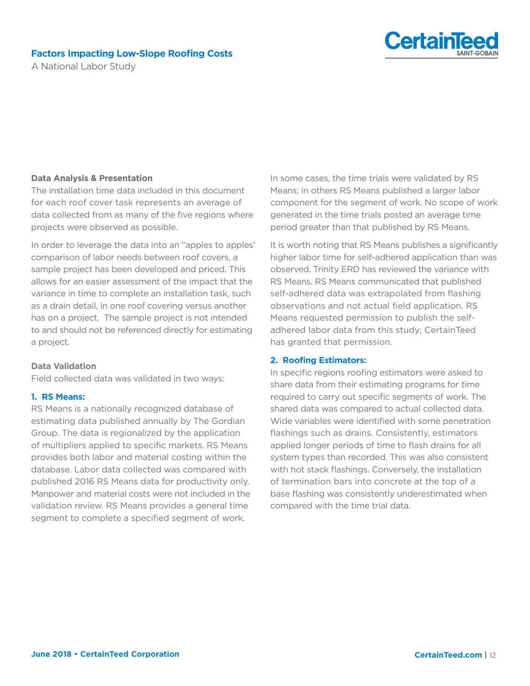



A National Labor Study

#### **Data Analysis & Presentation**

The installation time data included in this document for each roof cover task represents an average of data collected from as many of the five regions where projects were observed as possible.

In order to leverage the data into an "apples to apples' comparison of labor needs between roof covers, a sample project has been developed and priced. This allows for an easier assessment of the impact that the variance in time to complete an installation task, such as a drain detail, in one roof covering versus another has on a project. The sample project is not intended to and should not be referenced directly for estimating a project.

#### **Data Validation**

Field collected data was validated in two ways:

#### **1. RS Means:**

RS Means is a nationally recognized database of estimating data published annually by The Gordian Group. The data is regionalized by the application of multipliers applied to specific markets. RS Means provides both labor and material costing within the database. Labor data collected was compared with published 2016 RS Means data for productivity only. Manpower and material costs were not included in the validation review. RS Means provides a general time segment to complete a specified segment of work.

In some cases, the time trials were validated by RS Means; in others RS Means published a larger labor component for the segment of work. No scope of work generated in the time trials posted an average time period greater than that published by RS Means.

It is worth noting that RS Means publishes a significantly higher labor time for self-adhered application than was observed. Trinity ERD has reviewed the variance with RS Means. RS Means communicated that published self-adhered data was extrapolated from flashing observations and not actual field application. RS Means requested permission to publish the selfadhered labor data from this study; CertainTeed has granted that permission.

#### **2. Roofing Estimators:**

In specific regions roofing estimators were asked to share data from their estimating programs for time required to carry out specific segments of work. The shared data was compared to actual collected data. Wide variables were identified with some penetration flashings such as drains. Consistently, estimators applied longer periods of time to flash drains for all system types than recorded. This was also consistent with hot stack flashings. Conversely, the installation of termination bars into concrete at the top of a base flashing was consistently underestimated when compared with the time trial data.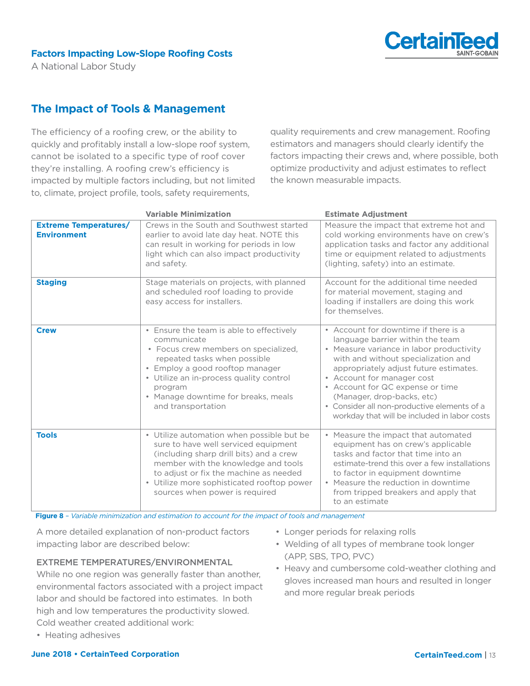

A National Labor Study

# **The Impact of Tools & Management**

The efficiency of a roofing crew, or the ability to quickly and profitably install a low-slope roof system, cannot be isolated to a specific type of roof cover they're installing. A roofing crew's efficiency is impacted by multiple factors including, but not limited to, climate, project profile, tools, safety requirements,

quality requirements and crew management. Roofing estimators and managers should clearly identify the factors impacting their crews and, where possible, both optimize productivity and adjust estimates to reflect the known measurable impacts.

|                                                    | <b>Variable Minimization</b>                                                                                                                                                                                                                                                                  | <b>Estimate Adjustment</b>                                                                                                                                                                                                                                                                                                                                                                           |
|----------------------------------------------------|-----------------------------------------------------------------------------------------------------------------------------------------------------------------------------------------------------------------------------------------------------------------------------------------------|------------------------------------------------------------------------------------------------------------------------------------------------------------------------------------------------------------------------------------------------------------------------------------------------------------------------------------------------------------------------------------------------------|
| <b>Extreme Temperatures/</b><br><b>Environment</b> | Crews in the South and Southwest started<br>earlier to avoid late day heat. NOTE this<br>can result in working for periods in low<br>light which can also impact productivity<br>and safety.                                                                                                  | Measure the impact that extreme hot and<br>cold working environments have on crew's<br>application tasks and factor any additional<br>time or equipment related to adjustments<br>(lighting, safety) into an estimate.                                                                                                                                                                               |
| <b>Staging</b>                                     | Stage materials on projects, with planned<br>and scheduled roof loading to provide<br>easy access for installers.                                                                                                                                                                             | Account for the additional time needed<br>for material movement, staging and<br>loading if installers are doing this work<br>for themselves.                                                                                                                                                                                                                                                         |
| <b>Crew</b>                                        | • Ensure the team is able to effectively<br>communicate<br>• Focus crew members on specialized,<br>repeated tasks when possible<br>• Employ a good rooftop manager<br>• Utilize an in-process quality control<br>program<br>• Manage downtime for breaks, meals<br>and transportation         | • Account for downtime if there is a<br>language barrier within the team<br>• Measure variance in labor productivity<br>with and without specialization and<br>appropriately adjust future estimates.<br>• Account for manager cost<br>• Account for QC expense or time<br>(Manager, drop-backs, etc)<br>• Consider all non-productive elements of a<br>workday that will be included in labor costs |
| <b>Tools</b>                                       | • Utilize automation when possible but be<br>sure to have well serviced equipment<br>(including sharp drill bits) and a crew<br>member with the knowledge and tools<br>to adjust or fix the machine as needed<br>• Utilize more sophisticated rooftop power<br>sources when power is required | • Measure the impact that automated<br>equipment has on crew's applicable<br>tasks and factor that time into an<br>estimate-trend this over a few installations<br>to factor in equipment downtime<br>• Measure the reduction in downtime<br>from tripped breakers and apply that<br>to an estimate                                                                                                  |

**Figure 8** *– Variable minimization and estimation to account for the impact of tools and management*

A more detailed explanation of non-product factors impacting labor are described below:

#### EXTREME TEMPERATURES/ENVIRONMENTAL

While no one region was generally faster than another, environmental factors associated with a project impact labor and should be factored into estimates. In both high and low temperatures the productivity slowed. Cold weather created additional work:

• Heating adhesives

- Longer periods for relaxing rolls
- Welding of all types of membrane took longer (APP, SBS, TPO, PVC)
- Heavy and cumbersome cold-weather clothing and gloves increased man hours and resulted in longer and more regular break periods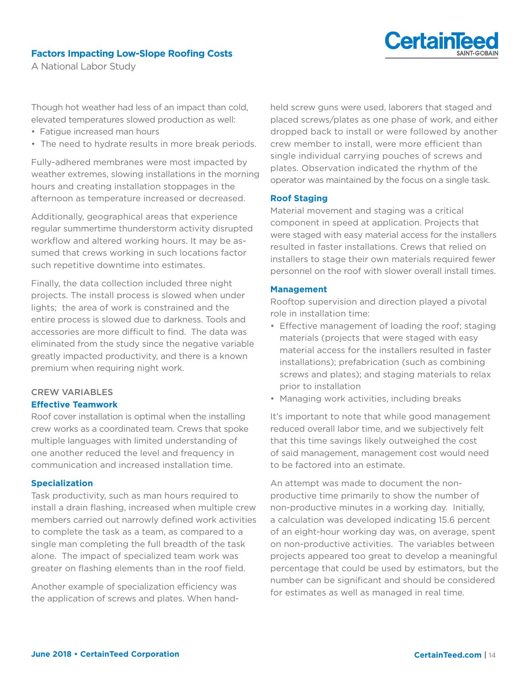



A National Labor Study

Though hot weather had less of an impact than cold, elevated temperatures slowed production as well:

- Fatigue increased man hours
- The need to hydrate results in more break periods.

Fully-adhered membranes were most impacted by weather extremes, slowing installations in the morning hours and creating installation stoppages in the afternoon as temperature increased or decreased.

Additionally, geographical areas that experience regular summertime thunderstorm activity disrupted workflow and altered working hours. It may be assumed that crews working in such locations factor such repetitive downtime into estimates.

Finally, the data collection included three night projects. The install process is slowed when under lights; the area of work is constrained and the entire process is slowed due to darkness. Tools and accessories are more difficult to find. The data was eliminated from the study since the negative variable greatly impacted productivity, and there is a known premium when requiring night work.

#### CREW VARIABLES **Effective Teamwork**

### Roof cover installation is optimal when the installing crew works as a coordinated team. Crews that spoke multiple languages with limited understanding of one another reduced the level and frequency in communication and increased installation time.

#### **Specialization**

Task productivity, such as man hours required to install a drain flashing, increased when multiple crew members carried out narrowly defined work activities to complete the task as a team, as compared to a single man completing the full breadth of the task alone. The impact of specialized team work was greater on flashing elements than in the roof field.

Another example of specialization efficiency was the application of screws and plates. When handheld screw guns were used, laborers that staged and placed screws/plates as one phase of work, and either dropped back to install or were followed by another crew member to install, were more efficient than single individual carrying pouches of screws and plates. Observation indicated the rhythm of the operator was maintained by the focus on a single task.

#### **Roof Staging**

Material movement and staging was a critical component in speed at application. Projects that were staged with easy material access for the installers resulted in faster installations. Crews that relied on installers to stage their own materials required fewer personnel on the roof with slower overall install times.

#### **Management**

Rooftop supervision and direction played a pivotal role in installation time:

- Effective management of loading the roof; staging materials (projects that were staged with easy material access for the installers resulted in faster installations); prefabrication (such as combining screws and plates); and staging materials to relax prior to installation
- Managing work activities, including breaks

It's important to note that while good management reduced overall labor time, and we subjectively felt that this time savings likely outweighed the cost of said management, management cost would need to be factored into an estimate.

An attempt was made to document the nonproductive time primarily to show the number of non-productive minutes in a working day. Initially, a calculation was developed indicating 15.6 percent of an eight-hour working day was, on average, spent on non-productive activities. The variables between projects appeared too great to develop a meaningful percentage that could be used by estimators, but the number can be significant and should be considered for estimates as well as managed in real time.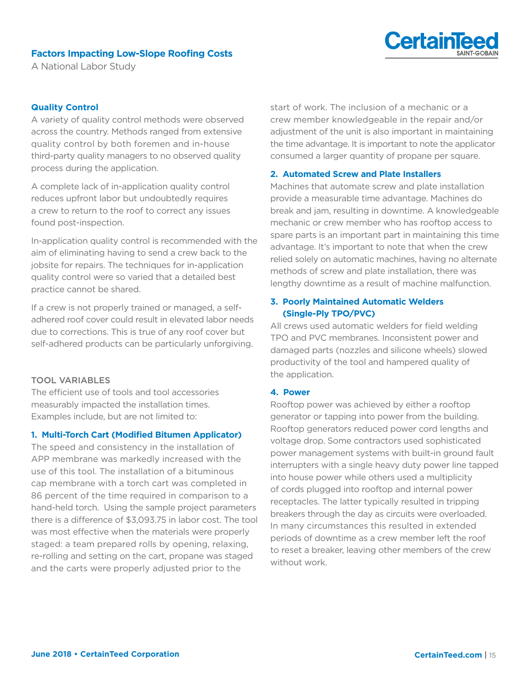

A National Labor Study

#### **Quality Control**

A variety of quality control methods were observed across the country. Methods ranged from extensive quality control by both foremen and in-house third-party quality managers to no observed quality process during the application.

A complete lack of in-application quality control reduces upfront labor but undoubtedly requires a crew to return to the roof to correct any issues found post-inspection.

In-application quality control is recommended with the aim of eliminating having to send a crew back to the jobsite for repairs. The techniques for in-application quality control were so varied that a detailed best practice cannot be shared.

If a crew is not properly trained or managed, a selfadhered roof cover could result in elevated labor needs due to corrections. This is true of any roof cover but self-adhered products can be particularly unforgiving.

#### TOOL VARIABLES

The efficient use of tools and tool accessories measurably impacted the installation times. Examples include, but are not limited to:

#### **1. Multi-Torch Cart (Modified Bitumen Applicator)**

The speed and consistency in the installation of APP membrane was markedly increased with the use of this tool. The installation of a bituminous cap membrane with a torch cart was completed in 86 percent of the time required in comparison to a hand-held torch. Using the sample project parameters there is a difference of \$3,093.75 in labor cost. The tool was most effective when the materials were properly staged: a team prepared rolls by opening, relaxing, re-rolling and setting on the cart, propane was staged and the carts were properly adjusted prior to the

start of work. The inclusion of a mechanic or a crew member knowledgeable in the repair and/or adjustment of the unit is also important in maintaining the time advantage. It is important to note the applicator consumed a larger quantity of propane per square.

#### **2. Automated Screw and Plate Installers**

Machines that automate screw and plate installation provide a measurable time advantage. Machines do break and jam, resulting in downtime. A knowledgeable mechanic or crew member who has rooftop access to spare parts is an important part in maintaining this time advantage. It's important to note that when the crew relied solely on automatic machines, having no alternate methods of screw and plate installation, there was lengthy downtime as a result of machine malfunction.

#### **3. Poorly Maintained Automatic Welders (Single-Ply TPO/PVC)**

All crews used automatic welders for field welding TPO and PVC membranes. Inconsistent power and damaged parts (nozzles and silicone wheels) slowed productivity of the tool and hampered quality of the application.

#### **4. Power**

Rooftop power was achieved by either a rooftop generator or tapping into power from the building. Rooftop generators reduced power cord lengths and voltage drop. Some contractors used sophisticated power management systems with built-in ground fault interrupters with a single heavy duty power line tapped into house power while others used a multiplicity of cords plugged into rooftop and internal power receptacles. The latter typically resulted in tripping breakers through the day as circuits were overloaded. In many circumstances this resulted in extended periods of downtime as a crew member left the roof to reset a breaker, leaving other members of the crew without work.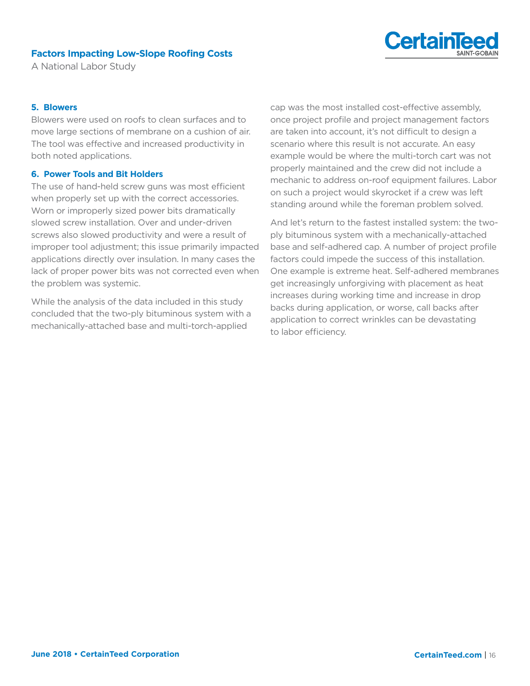

A National Labor Study

#### **5. Blowers**

Blowers were used on roofs to clean surfaces and to move large sections of membrane on a cushion of air. The tool was effective and increased productivity in both noted applications.

#### **6. Power Tools and Bit Holders**

The use of hand-held screw guns was most efficient when properly set up with the correct accessories. Worn or improperly sized power bits dramatically slowed screw installation. Over and under-driven screws also slowed productivity and were a result of improper tool adjustment; this issue primarily impacted applications directly over insulation. In many cases the lack of proper power bits was not corrected even when the problem was systemic.

While the analysis of the data included in this study concluded that the two-ply bituminous system with a mechanically-attached base and multi-torch-applied

cap was the most installed cost-effective assembly, once project profile and project management factors are taken into account, it's not difficult to design a scenario where this result is not accurate. An easy example would be where the multi-torch cart was not properly maintained and the crew did not include a mechanic to address on-roof equipment failures. Labor on such a project would skyrocket if a crew was left standing around while the foreman problem solved.

And let's return to the fastest installed system: the twoply bituminous system with a mechanically-attached base and self-adhered cap. A number of project profile factors could impede the success of this installation. One example is extreme heat. Self-adhered membranes get increasingly unforgiving with placement as heat increases during working time and increase in drop backs during application, or worse, call backs after application to correct wrinkles can be devastating to labor efficiency.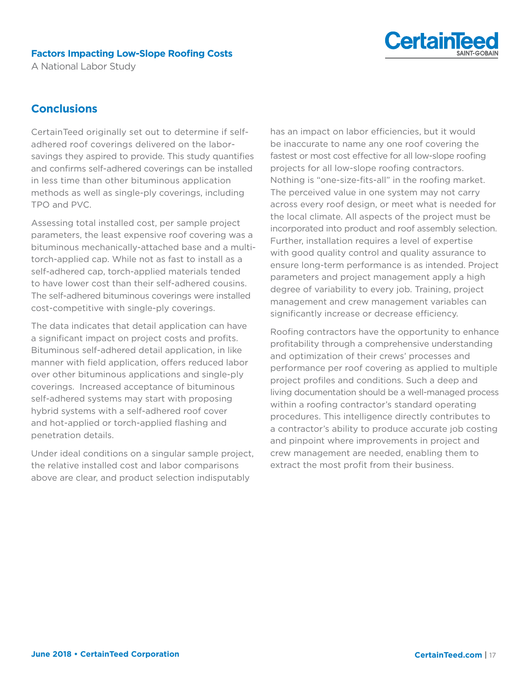

A National Labor Study

## **Conclusions**

CertainTeed originally set out to determine if selfadhered roof coverings delivered on the laborsavings they aspired to provide. This study quantifies and confirms self-adhered coverings can be installed in less time than other bituminous application methods as well as single-ply coverings, including TPO and PVC.

Assessing total installed cost, per sample project parameters, the least expensive roof covering was a bituminous mechanically-attached base and a multitorch-applied cap. While not as fast to install as a self-adhered cap, torch-applied materials tended to have lower cost than their self-adhered cousins. The self-adhered bituminous coverings were installed cost-competitive with single-ply coverings.

The data indicates that detail application can have a significant impact on project costs and profits. Bituminous self-adhered detail application, in like manner with field application, offers reduced labor over other bituminous applications and single-ply coverings. Increased acceptance of bituminous self-adhered systems may start with proposing hybrid systems with a self-adhered roof cover and hot-applied or torch-applied flashing and penetration details.

Under ideal conditions on a singular sample project, the relative installed cost and labor comparisons above are clear, and product selection indisputably

has an impact on labor efficiencies, but it would be inaccurate to name any one roof covering the fastest or most cost effective for all low-slope roofing projects for all low-slope roofing contractors. Nothing is "one-size-fits-all" in the roofing market. The perceived value in one system may not carry across every roof design, or meet what is needed for the local climate. All aspects of the project must be incorporated into product and roof assembly selection. Further, installation requires a level of expertise with good quality control and quality assurance to ensure long-term performance is as intended. Project parameters and project management apply a high degree of variability to every job. Training, project management and crew management variables can significantly increase or decrease efficiency.

Roofing contractors have the opportunity to enhance profitability through a comprehensive understanding and optimization of their crews' processes and performance per roof covering as applied to multiple project profiles and conditions. Such a deep and living documentation should be a well-managed process within a roofing contractor's standard operating procedures. This intelligence directly contributes to a contractor's ability to produce accurate job costing and pinpoint where improvements in project and crew management are needed, enabling them to extract the most profit from their business.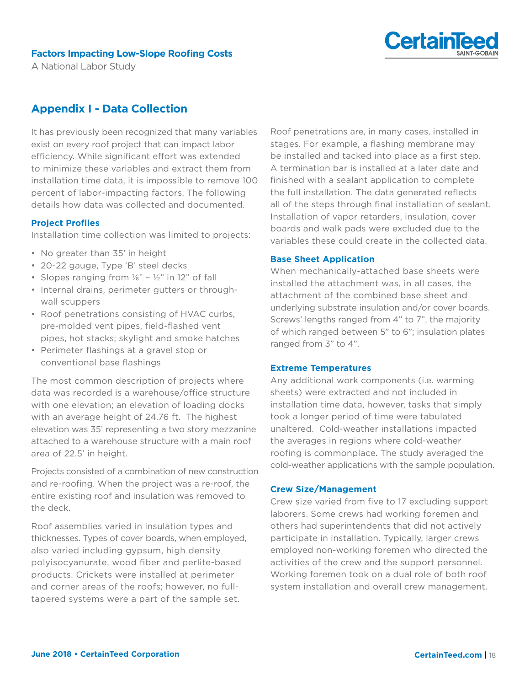

A National Labor Study

# **Appendix I - Data Collection**

It has previously been recognized that many variables exist on every roof project that can impact labor efficiency. While significant effort was extended to minimize these variables and extract them from installation time data, it is impossible to remove 100 percent of labor-impacting factors. The following details how data was collected and documented.

#### **Project Profiles**

Installation time collection was limited to projects:

- No greater than 35' in height
- 20-22 gauge, Type 'B' steel decks
- Slopes ranging from  $\frac{1}{8}$ "  $\frac{1}{2}$ " in 12" of fall
- Internal drains, perimeter gutters or throughwall scuppers
- Roof penetrations consisting of HVAC curbs, pre-molded vent pipes, field-flashed vent pipes, hot stacks; skylight and smoke hatches
- Perimeter flashings at a gravel stop or conventional base flashings

The most common description of projects where data was recorded is a warehouse/office structure with one elevation; an elevation of loading docks with an average height of 24.76 ft. The highest elevation was 35' representing a two story mezzanine attached to a warehouse structure with a main roof area of 22.5' in height.

Projects consisted of a combination of new construction and re-roofing. When the project was a re-roof, the entire existing roof and insulation was removed to the deck.

Roof assemblies varied in insulation types and thicknesses. Types of cover boards, when employed, also varied including gypsum, high density polyisocyanurate, wood fiber and perlite-based products. Crickets were installed at perimeter and corner areas of the roofs; however, no fulltapered systems were a part of the sample set.

Roof penetrations are, in many cases, installed in stages. For example, a flashing membrane may be installed and tacked into place as a first step. A termination bar is installed at a later date and finished with a sealant application to complete the full installation. The data generated reflects all of the steps through final installation of sealant. Installation of vapor retarders, insulation, cover boards and walk pads were excluded due to the variables these could create in the collected data.

#### **Base Sheet Application**

When mechanically-attached base sheets were installed the attachment was, in all cases, the attachment of the combined base sheet and underlying substrate insulation and/or cover boards. Screws' lengths ranged from 4" to 7", the majority of which ranged between 5" to 6"; insulation plates ranged from 3" to 4".

#### **Extreme Temperatures**

Any additional work components (i.e. warming sheets) were extracted and not included in installation time data, however, tasks that simply took a longer period of time were tabulated unaltered. Cold-weather installations impacted the averages in regions where cold-weather roofing is commonplace. The study averaged the cold-weather applications with the sample population.

#### **Crew Size/Management**

Crew size varied from five to 17 excluding support laborers. Some crews had working foremen and others had superintendents that did not actively participate in installation. Typically, larger crews employed non-working foremen who directed the activities of the crew and the support personnel. Working foremen took on a dual role of both roof system installation and overall crew management.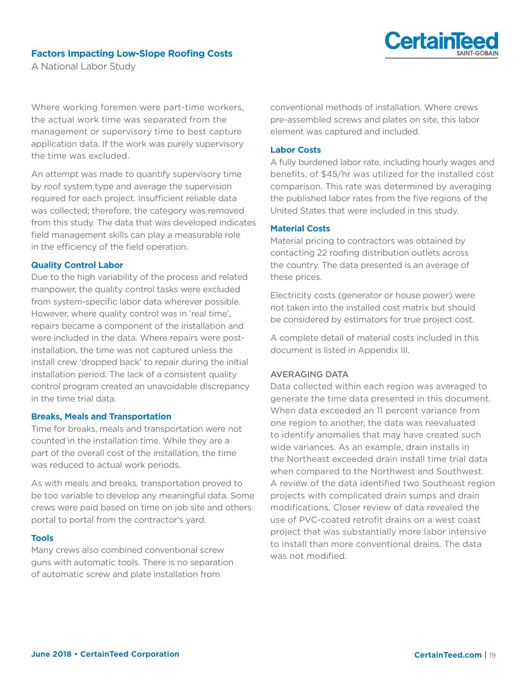

A National Labor Study

Where working foremen were part-time workers, the actual work time was separated from the management or supervisory time to best capture application data. If the work was purely supervisory the time was excluded.

An attempt was made to quantify supervisory time by roof system type and average the supervision required for each project. Insufficient reliable data was collected; therefore, the category was removed from this study. The data that was developed indicates field management skills can play a measurable role in the efficiency of the field operation.

#### **Quality Control Labor**

Due to the high variability of the process and related manpower, the quality control tasks were excluded from system-specific labor data wherever possible. However, where quality control was in 'real time', repairs became a component of the installation and were included in the data. Where repairs were postinstallation, the time was not captured unless the install crew 'dropped back' to repair during the initial installation period. The lack of a consistent quality control program created an unavoidable discrepancy in the time trial data.

#### **Breaks, Meals and Transportation**

Time for breaks, meals and transportation were not counted in the installation time. While they are a part of the overall cost of the installation, the time was reduced to actual work periods.

As with meals and breaks, transportation proved to be too variable to develop any meaningful data. Some crews were paid based on time on job site and others portal to portal from the contractor's yard.

#### **Tools**

Many crews also combined conventional screw guns with automatic tools. There is no separation of automatic screw and plate installation from

conventional methods of installation. Where crews pre-assembled screws and plates on site, this labor element was captured and included.

#### **Labor Costs**

A fully burdened labor rate, including hourly wages and benefits, of \$45/hr was utilized for the installed cost comparison. This rate was determined by averaging the published labor rates from the five regions of the United States that were included in this study.

#### **Material Costs**

Material pricing to contractors was obtained by contacting 22 roofing distribution outlets across the country. The data presented is an average of these prices.

Electricity costs (generator or house power) were not taken into the installed cost matrix but should be considered by estimators for true project cost.

A complete detail of material costs included in this document is listed in Appendix III.

#### AVERAGING DATA

Data collected within each region was averaged to generate the time data presented in this document. When data exceeded an 11 percent variance from one region to another, the data was reevaluated to identify anomalies that may have created such wide variances. As an example, drain installs in the Northeast exceeded drain install time trial data when compared to the Northwest and Southwest. A review of the data identified two Southeast region projects with complicated drain sumps and drain modifications. Closer review of data revealed the use of PVC-coated retrofit drains on a west coast project that was substantially more labor intensive to install than more conventional drains. The data was not modified.